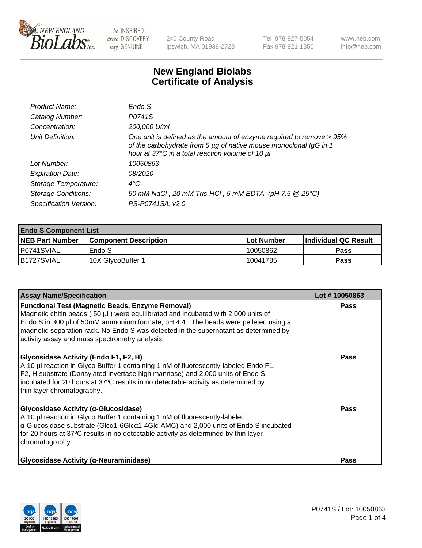

240 County Road Ipswich, MA 01938-2723 Tel 978-927-5054 Fax 978-921-1350 www.neb.com info@neb.com

## **New England Biolabs Certificate of Analysis**

| Product Name:              | Endo S                                                                                                                                                                                         |
|----------------------------|------------------------------------------------------------------------------------------------------------------------------------------------------------------------------------------------|
| Catalog Number:            | P0741S                                                                                                                                                                                         |
| Concentration:             | 200,000 U/ml                                                                                                                                                                                   |
| Unit Definition:           | One unit is defined as the amount of enzyme required to remove > 95%<br>of the carbohydrate from 5 µg of native mouse monoclonal IgG in 1<br>hour at 37°C in a total reaction volume of 10 µl. |
| Lot Number:                | 10050863                                                                                                                                                                                       |
| <b>Expiration Date:</b>    | 08/2020                                                                                                                                                                                        |
| Storage Temperature:       | $4^{\circ}$ C                                                                                                                                                                                  |
| <b>Storage Conditions:</b> | 50 mM NaCl, 20 mM Tris-HCl, 5 mM EDTA, (pH 7.5 @ 25°C)                                                                                                                                         |
| Specification Version:     | PS-P0741S/L v2.0                                                                                                                                                                               |

| <b>Endo S Component List</b> |                         |            |                             |  |  |
|------------------------------|-------------------------|------------|-----------------------------|--|--|
| <b>NEB Part Number</b>       | l Component Description | Lot Number | <b>Individual QC Result</b> |  |  |
| P0741SVIAL                   | Endo S                  | 10050862   | Pass                        |  |  |
| B1727SVIAL                   | 10X GlycoBuffer 1       | 10041785   | Pass                        |  |  |

| <b>Assay Name/Specification</b>                                                                                                                                                                                                                                                                                                                                                   | Lot #10050863 |
|-----------------------------------------------------------------------------------------------------------------------------------------------------------------------------------------------------------------------------------------------------------------------------------------------------------------------------------------------------------------------------------|---------------|
| <b>Functional Test (Magnetic Beads, Enzyme Removal)</b><br>Magnetic chitin beads $(50 \mu l)$ were equilibrated and incubated with 2,000 units of<br>Endo S in 300 µl of 50mM ammonium formate, pH 4.4. The beads were pelleted using a<br>magnetic separation rack. No Endo S was detected in the supernatant as determined by<br>activity assay and mass spectrometry analysis. | <b>Pass</b>   |
| Glycosidase Activity (Endo F1, F2, H)<br>A 10 µl reaction in Glyco Buffer 1 containing 1 nM of fluorescently-labeled Endo F1,<br>F2, H substrate (Dansylated invertase high mannose) and 2,000 units of Endo S<br>incubated for 20 hours at 37°C results in no detectable activity as determined by<br>thin layer chromatography.                                                 | Pass          |
| Glycosidase Activity (α-Glucosidase)<br>A 10 µl reaction in Glyco Buffer 1 containing 1 nM of fluorescently-labeled<br>$\alpha$ -Glucosidase substrate (Glc $\alpha$ 1-6Glc $\alpha$ 1-4Glc-AMC) and 2,000 units of Endo S incubated<br>for 20 hours at 37°C results in no detectable activity as determined by thin layer<br>chromatography.                                     | Pass          |
| <b>Glycosidase Activity (α-Neuraminidase)</b>                                                                                                                                                                                                                                                                                                                                     | <b>Pass</b>   |

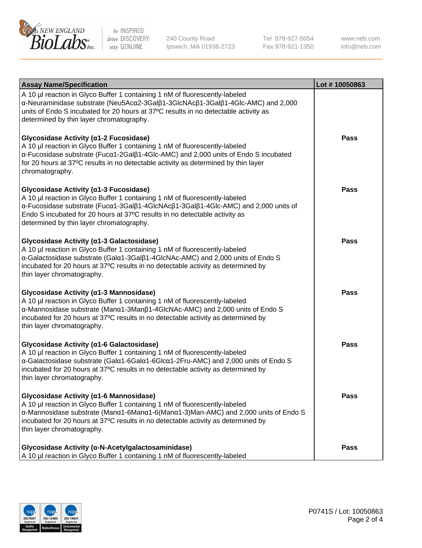

240 County Road Ipswich, MA 01938-2723 Tel 978-927-5054 Fax 978-921-1350 www.neb.com info@neb.com

| <b>Assay Name/Specification</b>                                                                                                                                                                                                                                                                                                       | Lot #10050863 |
|---------------------------------------------------------------------------------------------------------------------------------------------------------------------------------------------------------------------------------------------------------------------------------------------------------------------------------------|---------------|
| A 10 µl reaction in Glyco Buffer 1 containing 1 nM of fluorescently-labeled<br>α-Neuraminidase substrate (Neu5Acα2-3Galβ1-3GlcNAcβ1-3Galβ1-4Glc-AMC) and 2,000<br>units of Endo S incubated for 20 hours at 37°C results in no detectable activity as<br>determined by thin layer chromatography.                                     |               |
| Glycosidase Activity (α1-2 Fucosidase)<br>A 10 µl reaction in Glyco Buffer 1 containing 1 nM of fluorescently-labeled<br>α-Fucosidase substrate (Fucα1-2Galβ1-4Glc-AMC) and 2,000 units of Endo S incubated<br>for 20 hours at 37°C results in no detectable activity as determined by thin layer<br>chromatography.                  | <b>Pass</b>   |
| Glycosidase Activity (α1-3 Fucosidase)<br>A 10 µl reaction in Glyco Buffer 1 containing 1 nM of fluorescently-labeled<br>α-Fucosidase substrate (Fucα1-3Galβ1-4GlcNAcβ1-3Galβ1-4Glc-AMC) and 2,000 units of<br>Endo S incubated for 20 hours at 37°C results in no detectable activity as<br>determined by thin layer chromatography. | <b>Pass</b>   |
| Glycosidase Activity (a1-3 Galactosidase)<br>A 10 µl reaction in Glyco Buffer 1 containing 1 nM of fluorescently-labeled<br>α-Galactosidase substrate (Galα1-3Galβ1-4GlcNAc-AMC) and 2,000 units of Endo S<br>incubated for 20 hours at 37°C results in no detectable activity as determined by<br>thin layer chromatography.         | Pass          |
| Glycosidase Activity (α1-3 Mannosidase)<br>A 10 µl reaction in Glyco Buffer 1 containing 1 nM of fluorescently-labeled<br>α-Mannosidase substrate (Manα1-3Manβ1-4GlcNAc-AMC) and 2,000 units of Endo S<br>incubated for 20 hours at 37°C results in no detectable activity as determined by<br>thin layer chromatography.             | <b>Pass</b>   |
| Glycosidase Activity (α1-6 Galactosidase)<br>A 10 µl reaction in Glyco Buffer 1 containing 1 nM of fluorescently-labeled<br>α-Galactosidase substrate (Galα1-6Galα1-6Glcα1-2Fru-AMC) and 2,000 units of Endo S<br>incubated for 20 hours at 37°C results in no detectable activity as determined by<br>thin layer chromatography.     | <b>Pass</b>   |
| Glycosidase Activity (α1-6 Mannosidase)<br>A 10 µl reaction in Glyco Buffer 1 containing 1 nM of fluorescently-labeled<br>α-Mannosidase substrate (Μanα1-6Μanα1-6(Μanα1-3)Man-AMC) and 2,000 units of Endo S<br>incubated for 20 hours at 37°C results in no detectable activity as determined by<br>thin layer chromatography.       | Pass          |
| Glycosidase Activity (α-N-Acetylgalactosaminidase)<br>A 10 µl reaction in Glyco Buffer 1 containing 1 nM of fluorescently-labeled                                                                                                                                                                                                     | <b>Pass</b>   |

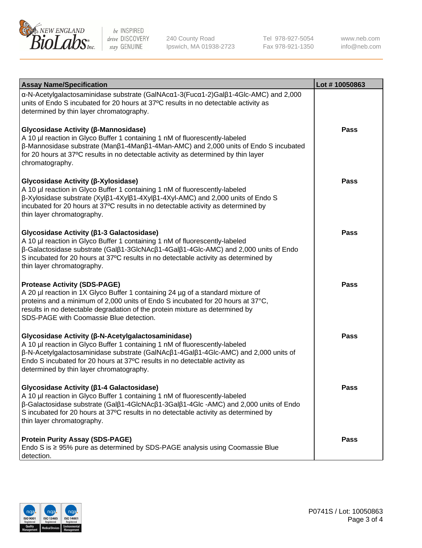

240 County Road Ipswich, MA 01938-2723 Tel 978-927-5054 Fax 978-921-1350

www.neb.com info@neb.com

| <b>Assay Name/Specification</b>                                                                                                                                                                                                                                                                                                                                              | Lot #10050863 |
|------------------------------------------------------------------------------------------------------------------------------------------------------------------------------------------------------------------------------------------------------------------------------------------------------------------------------------------------------------------------------|---------------|
| $\alpha$ -N-Acetylgalactosaminidase substrate (GalNAc $\alpha$ 1-3(Fuc $\alpha$ 1-2)Gal $\beta$ 1-4Glc-AMC) and 2,000<br>units of Endo S incubated for 20 hours at 37°C results in no detectable activity as<br>determined by thin layer chromatography.                                                                                                                     |               |
| <b>Glycosidase Activity (β-Mannosidase)</b><br>A 10 µl reaction in Glyco Buffer 1 containing 1 nM of fluorescently-labeled<br>$\beta$ -Mannosidase substrate (Man $\beta$ 1-4Man $\beta$ 1-4Man-AMC) and 2,000 units of Endo S incubated<br>for 20 hours at 37°C results in no detectable activity as determined by thin layer<br>chromatography.                            | <b>Pass</b>   |
| <b>Glycosidase Activity (β-Xylosidase)</b><br>A 10 µl reaction in Glyco Buffer 1 containing 1 nM of fluorescently-labeled<br>$\beta$ -Xylosidase substrate (Xyl $\beta$ 1-4Xyl $\beta$ 1-4Xyl $\beta$ 1-4Xyl-AMC) and 2,000 units of Endo S<br>incubated for 20 hours at 37°C results in no detectable activity as determined by<br>thin layer chromatography.               | Pass          |
| Glycosidase Activity ( $\beta$ 1-3 Galactosidase)<br>A 10 µl reaction in Glyco Buffer 1 containing 1 nM of fluorescently-labeled<br>β-Galactosidase substrate (Galβ1-3GlcNAcβ1-4Galβ1-4Glc-AMC) and 2,000 units of Endo<br>S incubated for 20 hours at 37°C results in no detectable activity as determined by<br>thin layer chromatography.                                 | <b>Pass</b>   |
| <b>Protease Activity (SDS-PAGE)</b><br>A 20 µl reaction in 1X Glyco Buffer 1 containing 24 µg of a standard mixture of<br>proteins and a minimum of 2,000 units of Endo S incubated for 20 hours at 37°C,<br>results in no detectable degradation of the protein mixture as determined by<br>SDS-PAGE with Coomassie Blue detection.                                         | <b>Pass</b>   |
| <b>Glycosidase Activity (β-N-Acetylgalactosaminidase)</b><br>A 10 µl reaction in Glyco Buffer 1 containing 1 nM of fluorescently-labeled<br>β-N-Acetylgalactosaminidase substrate (GalNAcβ1-4Galβ1-4Glc-AMC) and 2,000 units of<br>Endo S incubated for 20 hours at 37°C results in no detectable activity as<br>determined by thin layer chromatography.                    | <b>Pass</b>   |
| Glycosidase Activity ( $\beta$ 1-4 Galactosidase)<br>A 10 µl reaction in Glyco Buffer 1 containing 1 nM of fluorescently-labeled<br>$\beta$ -Galactosidase substrate (Gal $\beta$ 1-4GlcNAc $\beta$ 1-3Gal $\beta$ 1-4Glc -AMC) and 2,000 units of Endo<br>S incubated for 20 hours at 37°C results in no detectable activity as determined by<br>thin layer chromatography. | <b>Pass</b>   |
| <b>Protein Purity Assay (SDS-PAGE)</b><br>Endo S is ≥ 95% pure as determined by SDS-PAGE analysis using Coomassie Blue<br>detection.                                                                                                                                                                                                                                         | <b>Pass</b>   |